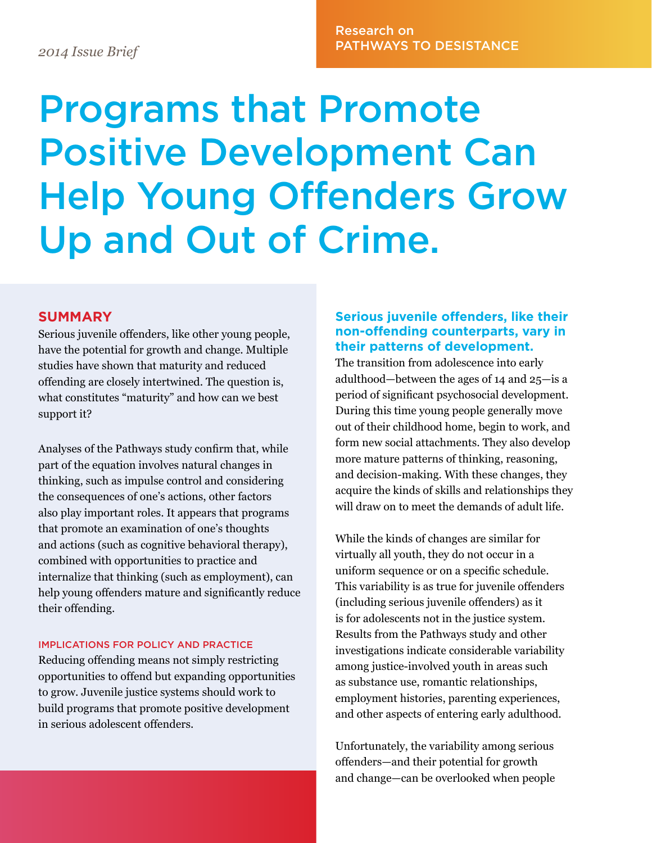## Research on PATHWAYS TO DESISTANCE *2014 Issue Brief*

# Programs that Promote Positive Development Can Help Young Offenders Grow Up and Out of Crime.

#### **SUMMARY**

Serious juvenile offenders, like other young people, have the potential for growth and change. Multiple studies have shown that maturity and reduced offending are closely intertwined. The question is, what constitutes "maturity" and how can we best support it?

Analyses of the Pathways study confirm that, while part of the equation involves natural changes in thinking, such as impulse control and considering the consequences of one's actions, other factors also play important roles. It appears that programs that promote an examination of one's thoughts and actions (such as cognitive behavioral therapy), combined with opportunities to practice and internalize that thinking (such as employment), can help young offenders mature and significantly reduce their offending.

#### IMPLICATIONS FOR POLICY AND PRACTICE

Reducing offending means not simply restricting opportunities to offend but expanding opportunities to grow. Juvenile justice systems should work to build programs that promote positive development in serious adolescent offenders.

#### **Serious juvenile offenders, like their non-offending counterparts, vary in their patterns of development.**

The transition from adolescence into early adulthood—between the ages of 14 and 25—is a period of significant psychosocial development. During this time young people generally move out of their childhood home, begin to work, and form new social attachments. They also develop more mature patterns of thinking, reasoning, and decision-making. With these changes, they acquire the kinds of skills and relationships they will draw on to meet the demands of adult life.

While the kinds of changes are similar for virtually all youth, they do not occur in a uniform sequence or on a specific schedule. This variability is as true for juvenile offenders (including serious juvenile offenders) as it is for adolescents not in the justice system. Results from the Pathways study and other investigations indicate considerable variability among justice-involved youth in areas such as substance use, romantic relationships, employment histories, parenting experiences, and other aspects of entering early adulthood.

Unfortunately, the variability among serious offenders—and their potential for growth and change—can be overlooked when people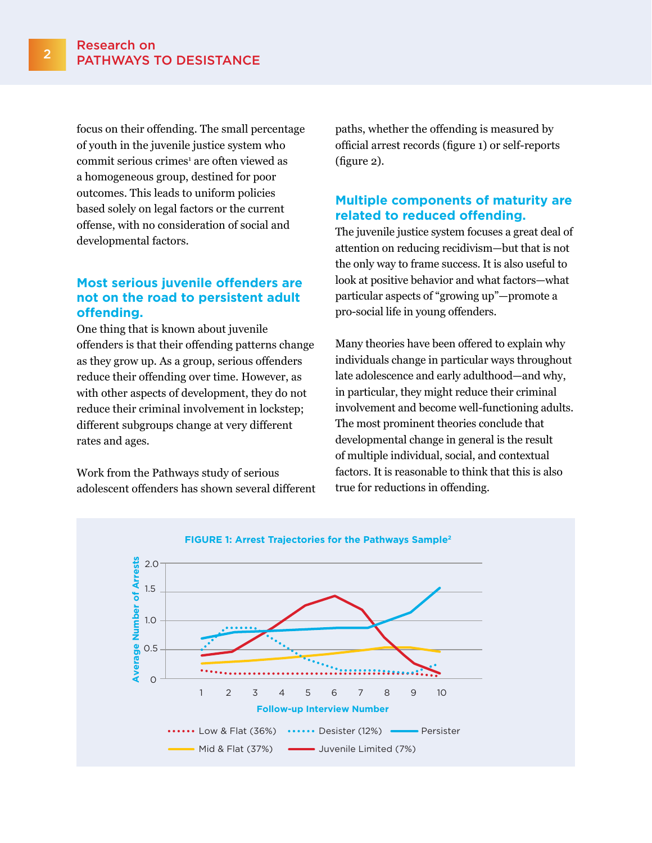focus on their offending. The small percentage of youth in the juvenile justice system who commit serious crimes<sup>1</sup> are often viewed as a homogeneous group, destined for poor outcomes. This leads to uniform policies based solely on legal factors or the current offense, with no consideration of social and developmental factors.

#### **Most serious juvenile offenders are not on the road to persistent adult offending.**

One thing that is known about juvenile offenders is that their offending patterns change as they grow up. As a group, serious offenders reduce their offending over time. However, as with other aspects of development, they do not reduce their criminal involvement in lockstep; different subgroups change at very different rates and ages.

Work from the Pathways study of serious adolescent offenders has shown several different paths, whether the offending is measured by official arrest records (figure 1) or self-reports (figure 2).

### **Multiple components of maturity are related to reduced offending.**

The juvenile justice system focuses a great deal of attention on reducing recidivism—but that is not the only way to frame success. It is also useful to look at positive behavior and what factors—what particular aspects of "growing up"—promote a pro-social life in young offenders.

Many theories have been offered to explain why individuals change in particular ways throughout late adolescence and early adulthood—and why, in particular, they might reduce their criminal involvement and become well-functioning adults. The most prominent theories conclude that developmental change in general is the result of multiple individual, social, and contextual factors. It is reasonable to think that this is also true for reductions in offending.

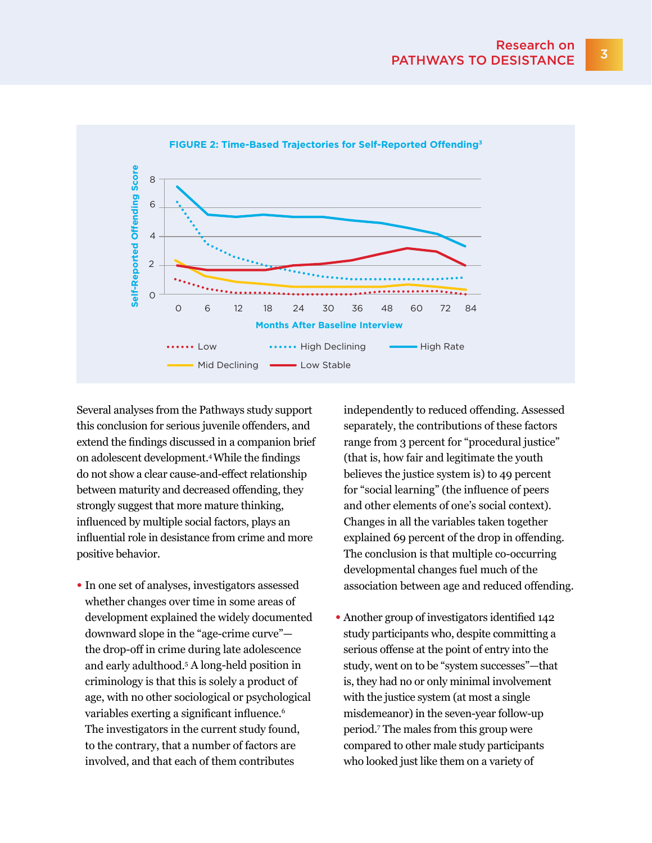

**FIGURE 2: Time-Based Trajectories for Self-Reported Offending3**

Several analyses from the Pathways study support this conclusion for serious juvenile offenders, and extend the findings discussed in a companion brief on adolescent development.<sup>4</sup>While the findings do not show a clear cause-and-effect relationship between maturity and decreased offending, they strongly suggest that more mature thinking, influenced by multiple social factors, plays an influential role in desistance from crime and more positive behavior.

• In one set of analyses, investigators assessed whether changes over time in some areas of development explained the widely documented downward slope in the "age-crime curve" the drop-off in crime during late adolescence and early adulthood.<sup>5</sup> A long-held position in criminology is that this is solely a product of age, with no other sociological or psychological variables exerting a significant influence.<sup>6</sup> The investigators in the current study found, to the contrary, that a number of factors are involved, and that each of them contributes

independently to reduced offending. Assessed separately, the contributions of these factors range from 3 percent for "procedural justice" (that is, how fair and legitimate the youth believes the justice system is) to 49 percent for "social learning" (the influence of peers and other elements of one's social context). Changes in all the variables taken together explained 69 percent of the drop in offending. The conclusion is that multiple co-occurring developmental changes fuel much of the association between age and reduced offending.

• Another group of investigators identified 142 study participants who, despite committing a serious offense at the point of entry into the study, went on to be "system successes"—that is, they had no or only minimal involvement with the justice system (at most a single misdemeanor) in the seven-year follow-up period.<sup>7</sup> The males from this group were compared to other male study participants who looked just like them on a variety of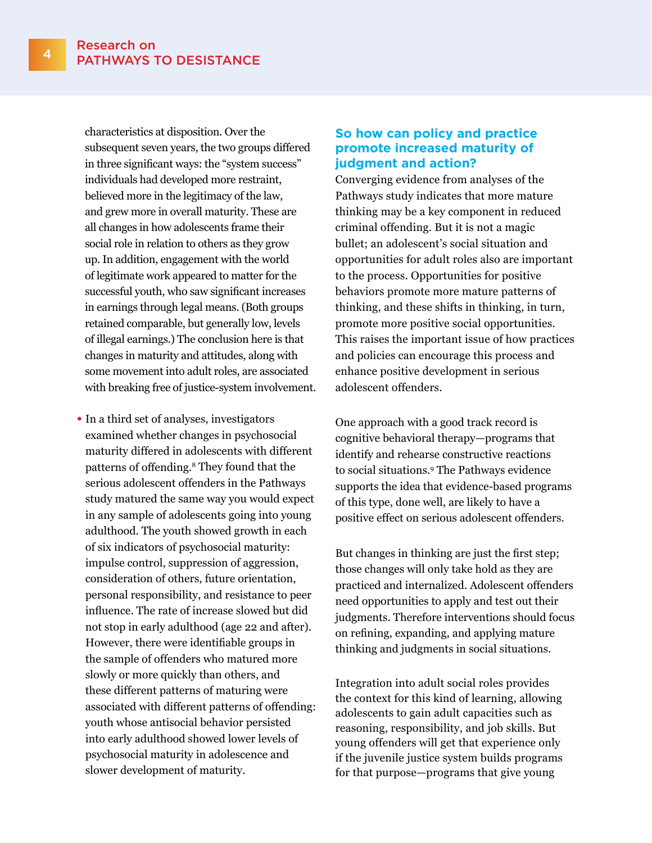characteristics at disposition. Over the subsequent seven years, the two groups differed in three significant ways: the "system success" individuals had developed more restraint, believed more in the legitimacy of the law, and grew more in overall maturity. These are all changes in how adolescents frame their social role in relation to others as they grow up. In addition, engagement with the world of legitimate work appeared to matter for the successful youth, who saw significant increases in earnings through legal means. (Both groups retained comparable, but generally low, levels of illegal earnings.) The conclusion here is that changes in maturity and attitudes, along with some movement into adult roles, are associated with breaking free of justice-system involvement.

• In a third set of analyses, investigators examined whether changes in psychosocial maturity differed in adolescents with different patterns of offending.8 They found that the serious adolescent offenders in the Pathways study matured the same way you would expect in any sample of adolescents going into young adulthood. The youth showed growth in each of six indicators of psychosocial maturity: impulse control, suppression of aggression, consideration of others, future orientation, personal responsibility, and resistance to peer influence. The rate of increase slowed but did not stop in early adulthood (age 22 and after). However, there were identifiable groups in the sample of offenders who matured more slowly or more quickly than others, and these different patterns of maturing were associated with different patterns of offending: youth whose antisocial behavior persisted into early adulthood showed lower levels of psychosocial maturity in adolescence and slower development of maturity.

#### **So how can policy and practice promote increased maturity of judgment and action?**

Converging evidence from analyses of the Pathways study indicates that more mature thinking may be a key component in reduced criminal offending. But it is not a magic bullet; an adolescent's social situation and opportunities for adult roles also are important to the process. Opportunities for positive behaviors promote more mature patterns of thinking, and these shifts in thinking, in turn, promote more positive social opportunities. This raises the important issue of how practices and policies can encourage this process and enhance positive development in serious adolescent offenders.

One approach with a good track record is cognitive behavioral therapy—programs that identify and rehearse constructive reactions to social situations.9 The Pathways evidence supports the idea that evidence-based programs of this type, done well, are likely to have a positive effect on serious adolescent offenders.

But changes in thinking are just the first step; those changes will only take hold as they are practiced and internalized. Adolescent offenders need opportunities to apply and test out their judgments. Therefore interventions should focus on refining, expanding, and applying mature thinking and judgments in social situations.

Integration into adult social roles provides the context for this kind of learning, allowing adolescents to gain adult capacities such as reasoning, responsibility, and job skills. But young offenders will get that experience only if the juvenile justice system builds programs for that purpose—programs that give young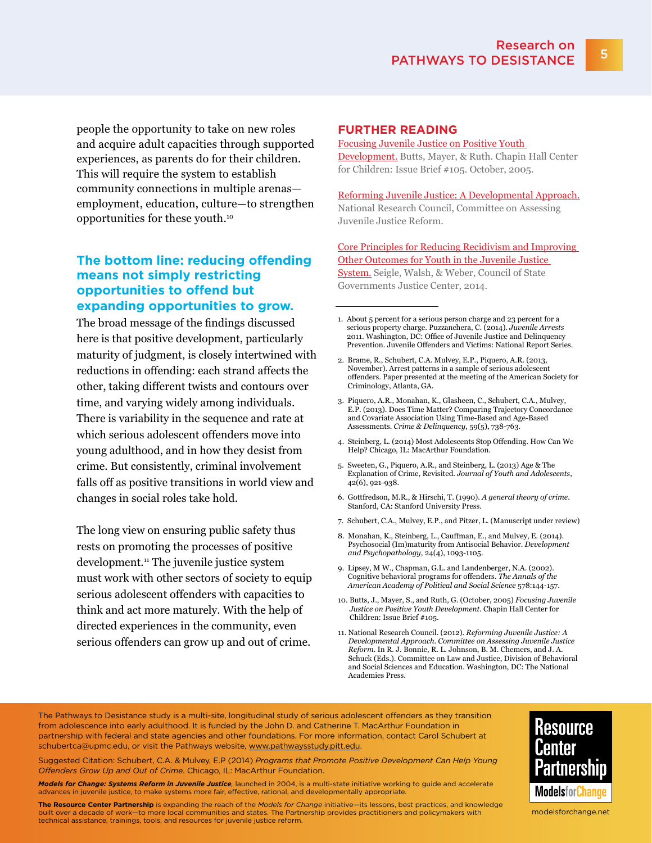people the opportunity to take on new roles and acquire adult capacities through supported experiences, as parents do for their children. This will require the system to establish community connections in multiple arenas employment, education, culture—to strengthen opportunities for these youth.<sup>10</sup>

#### **The bottom line: reducing offending means not simply restricting opportunities to offend but expanding opportunities to grow.**

The broad message of the findings discussed here is that positive development, particularly maturity of judgment, is closely intertwined with reductions in offending: each strand affects the other, taking different twists and contours over time, and varying widely among individuals. There is variability in the sequence and rate at which serious adolescent offenders move into young adulthood, and in how they desist from crime. But consistently, criminal involvement falls off as positive transitions in world view and changes in social roles take hold.

The long view on ensuring public safety thus rests on promoting the processes of positive development.<sup>11</sup> The juvenile justice system must work with other sectors of society to equip serious adolescent offenders with capacities to think and act more maturely. With the help of directed experiences in the community, even serious offenders can grow up and out of crime.

#### **FURTHER READING**

#### [Focusing Juvenile Justice on Positive Youth](http://www.chapinhall.org/sites/default/files/publications/249.pdf)

[Development.](http://www.chapinhall.org/sites/default/files/publications/249.pdf) Butts, Mayer, & Ruth. Chapin Hall Center for Children: Issue Brief #105. October, 2005.

[Reforming Juvenile Justice: A Developmental Approach.](http://www.nap.edu/catalog.php?record_id=14685) National Research Council, Committee on Assessing Juvenile Justice Reform.

[Core Principles for Reducing Recidivism and Improving](http://csgjusticecenter.org/wp-content/uploads/2014/07/Core-Principles-for-Reducing-Recidivism-and-Improving-Other-Outcomes-for-Youth-in-the-Juvenile-Justice-System.pdf)  [Other Outcomes for Youth in the Juvenile Justice](http://csgjusticecenter.org/wp-content/uploads/2014/07/Core-Principles-for-Reducing-Recidivism-and-Improving-Other-Outcomes-for-Youth-in-the-Juvenile-Justice-System.pdf)  [System.](http://csgjusticecenter.org/wp-content/uploads/2014/07/Core-Principles-for-Reducing-Recidivism-and-Improving-Other-Outcomes-for-Youth-in-the-Juvenile-Justice-System.pdf) Seigle, Walsh, & Weber, Council of State

Governments Justice Center, 2014.

- 1. About 5 percent for a serious person charge and 23 percent for a serious property charge. Puzzanchera, C. (2014). *Juvenile Arrests* 2011. Washington, DC: Office of Juvenile Justice and Delinquency Prevention. Juvenile Offenders and Victims: National Report Series.
- 2. Brame, R., Schubert, C.A. Mulvey, E.P., Piquero, A.R. (2013, November). Arrest patterns in a sample of serious adolescent offenders. Paper presented at the meeting of the American Society for Criminology, Atlanta, GA.
- 3. Piquero, A.R., Monahan, K., Glasheen, C., Schubert, C.A., Mulvey, E.P. (2013). Does Time Matter? Comparing Trajectory Concordance and Covariate Association Using Time-Based and Age-Based Assessments. *Crime & Delinquency*, 59(5), 738-763.
- 4. Steinberg, L. (2014) Most Adolescents Stop Offending. How Can We Help? Chicago, IL: MacArthur Foundation.
- 5. Sweeten, G., Piquero, A.R., and Steinberg, L. (2013) Age & The Explanation of Crime, Revisited. *Journal of Youth and Adolescents*, 42(6), 921-938.
- 6. Gottfredson, M.R., & Hirschi, T. (1990). *A general theory of crime*. Stanford, CA: Stanford University Press.
- 7. Schubert, C.A., Mulvey, E.P., and Pitzer, L. (Manuscript under review)
- 8. Monahan, K., Steinberg, L., Cauffman, E., and Mulvey, E. (2014). Psychosocial (Im)maturity from Antisocial Behavior. *Development and Psychopathology*, 24(4), 1093-1105.
- 9. Lipsey, M W., Chapman, G.L. and Landenberger, N.A. (2002). Cognitive behavioral programs for offenders. *The Annals of the American Academy of Political and Social Science* 578:144-157.
- 10. Butts, J., Mayer, S., and Ruth, G. (October, 2005) *Focusing Juvenile Justice on Positive Youth Development*. Chapin Hall Center for Children: Issue Brief #105.
- 11. National Research Council. (2012). *Reforming Juvenile Justice: A Developmental Approach. Committee on Assessing Juvenile Justice Reform*. In R. J. Bonnie, R. L. Johnson, B. M. Chemers, and J. A. Schuck (Eds.). Committee on Law and Justice, Division of Behavioral and Social Sciences and Education. Washington, DC: The National Academies Press.

The Pathways to Desistance study is a multi-site, longitudinal study of serious adolescent offenders as they transition from adolescence into early adulthood. It is funded by the John D. and Catherine T. MacArthur Foundation in partnership with federal and state agencies and other foundations. For more information, contact Carol Schubert at [schubertca@upmc.edu,](mailto:schubertca@upmc.edu) or visit the Pathways website, <www.pathwaysstudy.pitt.edu>.

Suggested Citation: Schubert, C.A. & Mulvey, E.P (2014) *Programs that Promote Positive Development Can Help Young Offenders Grow Up and Out of Crime*. Chicago, IL: MacArthur Foundation.

*Models for Change: Systems Reform in Juvenile Justice,* launched in 2004, is a multi-state initiative working to guide and accelerate advances in juvenile justice, to make systems more fair, effective, rational, and developmentally appropriate.

**The Resource Center Partnership** is expanding the reach of the *Models for Change* initiative—its lessons, best practices, and knowledge built over a decade of work—to more local communities and states. The Partnership provides practitioners and policymakers with technical assistance, trainings, tools, and resources for juvenile justice reform.



<modelsforchange.net>